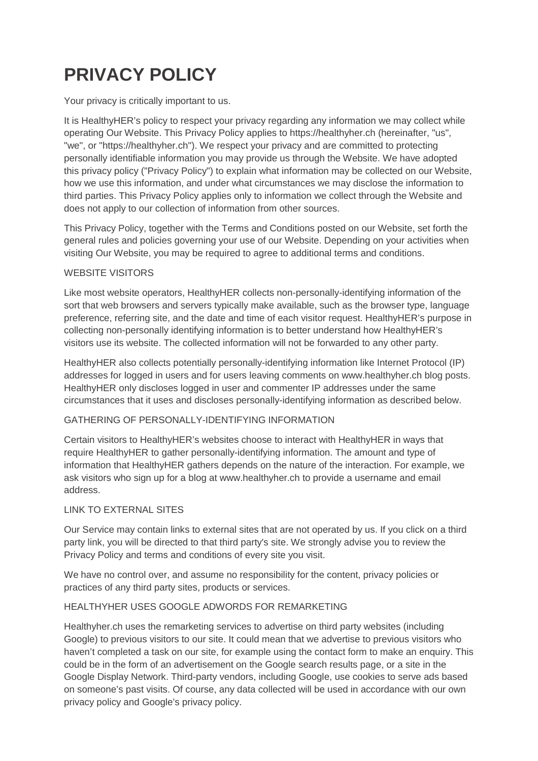# **PRIVACY POLICY**

Your privacy is critically important to us.

It is HealthyHER's policy to respect your privacy regarding any information we may collect while operating Our Website. This Privacy Policy applies to https://healthyher.ch (hereinafter, "us", "we", or "https://healthyher.ch"). We respect your privacy and are committed to protecting personally identifiable information you may provide us through the Website. We have adopted this privacy policy ("Privacy Policy") to explain what information may be collected on our Website, how we use this information, and under what circumstances we may disclose the information to third parties. This Privacy Policy applies only to information we collect through the Website and does not apply to our collection of information from other sources.

This Privacy Policy, together with the Terms and Conditions posted on our Website, set forth the general rules and policies governing your use of our Website. Depending on your activities when visiting Our Website, you may be required to agree to additional terms and conditions.

## WEBSITE VISITORS

Like most website operators, HealthyHER collects non-personally-identifying information of the sort that web browsers and servers typically make available, such as the browser type, language preference, referring site, and the date and time of each visitor request. HealthyHER's purpose in collecting non-personally identifying information is to better understand how HealthyHER's visitors use its website. The collected information will not be forwarded to any other party.

HealthyHER also collects potentially personally-identifying information like Internet Protocol (IP) addresses for logged in users and for users leaving comments on www.healthyher.ch blog posts. HealthyHER only discloses logged in user and commenter IP addresses under the same circumstances that it uses and discloses personally-identifying information as described below.

## GATHERING OF PERSONALLY-IDENTIFYING INFORMATION

Certain visitors to HealthyHER's websites choose to interact with HealthyHER in ways that require HealthyHER to gather personally-identifying information. The amount and type of information that HealthyHER gathers depends on the nature of the interaction. For example, we ask visitors who sign up for a blog at www.healthyher.ch to provide a username and email address.

#### LINK TO EXTERNAL SITES

Our Service may contain links to external sites that are not operated by us. If you click on a third party link, you will be directed to that third party's site. We strongly advise you to review the Privacy Policy and terms and conditions of every site you visit.

We have no control over, and assume no responsibility for the content, privacy policies or practices of any third party sites, products or services.

#### HEALTHYHER USES GOOGLE ADWORDS FOR REMARKETING

Healthyher.ch uses the remarketing services to advertise on third party websites (including Google) to previous visitors to our site. It could mean that we advertise to previous visitors who haven't completed a task on our site, for example using the contact form to make an enquiry. This could be in the form of an advertisement on the Google search results page, or a site in the Google Display Network. Third-party vendors, including Google, use cookies to serve ads based on someone's past visits. Of course, any data collected will be used in accordance with our own privacy policy and Google's privacy policy.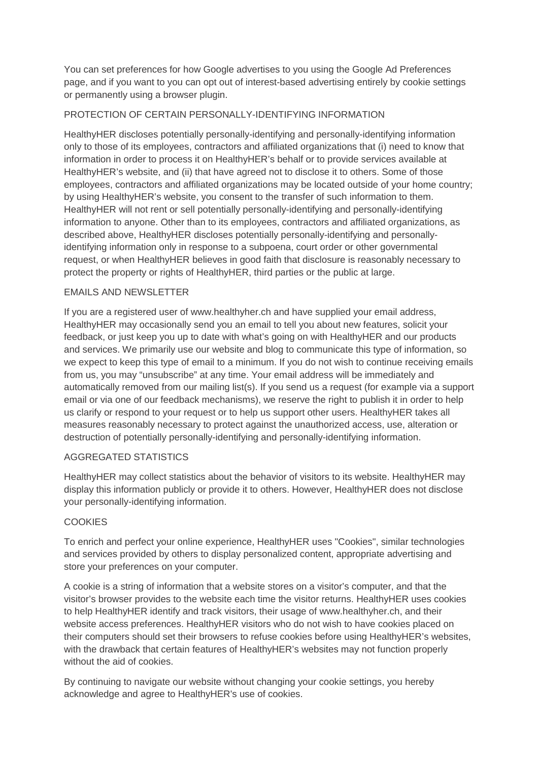You can set preferences for how Google advertises to you using the Google Ad Preferences page, and if you want to you can opt out of interest-based advertising entirely by cookie settings or permanently using a browser plugin.

## PROTECTION OF CERTAIN PERSONALLY-IDENTIFYING INFORMATION

HealthyHER discloses potentially personally-identifying and personally-identifying information only to those of its employees, contractors and affiliated organizations that (i) need to know that information in order to process it on HealthyHER's behalf or to provide services available at HealthyHER's website, and (ii) that have agreed not to disclose it to others. Some of those employees, contractors and affiliated organizations may be located outside of your home country; by using HealthyHER's website, you consent to the transfer of such information to them. HealthyHER will not rent or sell potentially personally-identifying and personally-identifying information to anyone. Other than to its employees, contractors and affiliated organizations, as described above, HealthyHER discloses potentially personally-identifying and personallyidentifying information only in response to a subpoena, court order or other governmental request, or when HealthyHER believes in good faith that disclosure is reasonably necessary to protect the property or rights of HealthyHER, third parties or the public at large.

## EMAILS AND NEWSLETTER

If you are a registered user of www.healthyher.ch and have supplied your email address, HealthyHER may occasionally send you an email to tell you about new features, solicit your feedback, or just keep you up to date with what's going on with HealthyHER and our products and services. We primarily use our website and blog to communicate this type of information, so we expect to keep this type of email to a minimum. If you do not wish to continue receiving emails from us, you may "unsubscribe" at any time. Your email address will be immediately and automatically removed from our mailing list(s). If you send us a request (for example via a support email or via one of our feedback mechanisms), we reserve the right to publish it in order to help us clarify or respond to your request or to help us support other users. HealthyHER takes all measures reasonably necessary to protect against the unauthorized access, use, alteration or destruction of potentially personally-identifying and personally-identifying information.

## AGGREGATED STATISTICS

HealthyHER may collect statistics about the behavior of visitors to its website. HealthyHER may display this information publicly or provide it to others. However, HealthyHER does not disclose your personally-identifying information.

## **COOKIES**

To enrich and perfect your online experience, HealthyHER uses "Cookies", similar technologies and services provided by others to display personalized content, appropriate advertising and store your preferences on your computer.

A cookie is a string of information that a website stores on a visitor's computer, and that the visitor's browser provides to the website each time the visitor returns. HealthyHER uses cookies to help HealthyHER identify and track visitors, their usage of www.healthyher.ch, and their website access preferences. HealthyHER visitors who do not wish to have cookies placed on their computers should set their browsers to refuse cookies before using HealthyHER's websites, with the drawback that certain features of HealthyHER's websites may not function properly without the aid of cookies.

By continuing to navigate our website without changing your cookie settings, you hereby acknowledge and agree to HealthyHER's use of cookies.